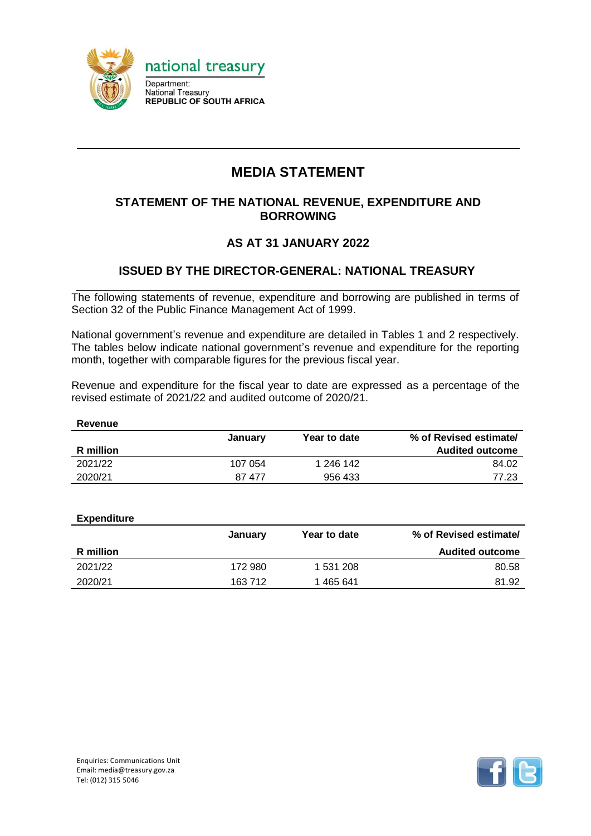

# **MEDIA STATEMENT**

### **STATEMENT OF THE NATIONAL REVENUE, EXPENDITURE AND BORROWING**

### **AS AT 31 JANUARY 2022**

### **ISSUED BY THE DIRECTOR-GENERAL: NATIONAL TREASURY**

The following statements of revenue, expenditure and borrowing are published in terms of Section 32 of the Public Finance Management Act of 1999.

National government's revenue and expenditure are detailed in Tables 1 and 2 respectively. The tables below indicate national government's revenue and expenditure for the reporting month, together with comparable figures for the previous fiscal year.

Revenue and expenditure for the fiscal year to date are expressed as a percentage of the revised estimate of 2021/22 and audited outcome of 2020/21.

| January | Year to date | % of Revised estimate/ |
|---------|--------------|------------------------|
|         |              | <b>Audited outcome</b> |
| 107 054 | 1 246 142    | 84.02                  |
| 87 477  | 956 433      | 77.23                  |
|         |              |                        |

| <b>Expenditure</b> |         |              |                        |
|--------------------|---------|--------------|------------------------|
|                    | January | Year to date | % of Revised estimate/ |
| R million          |         |              | <b>Audited outcome</b> |
| 2021/22            | 172 980 | 1 531 208    | 80.58                  |
| 2020/21            | 163 712 | 465 641      | 81.92                  |